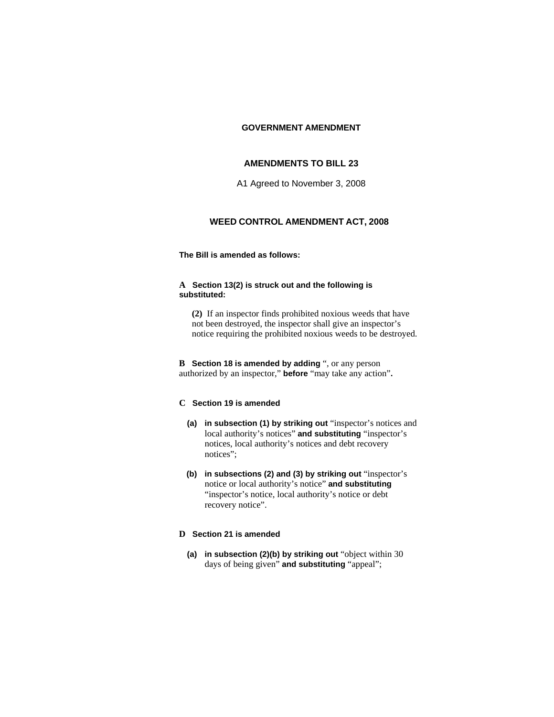#### **GOVERNMENT AMENDMENT**

# **AMENDMENTS TO BILL 23**

A1 Agreed to November 3, 2008

## **WEED CONTROL AMENDMENT ACT, 2008**

### **The Bill is amended as follows:**

#### **A Section 13(2) is struck out and the following is substituted:**

**(2)** If an inspector finds prohibited noxious weeds that have not been destroyed, the inspector shall give an inspector's notice requiring the prohibited noxious weeds to be destroyed.

**B Section 18 is amended by adding** ", or any person authorized by an inspector," **before** "may take any action"**.**

### **C Section 19 is amended**

- **(a) in subsection (1) by striking out** "inspector's notices and local authority's notices" **and substituting** "inspector's notices, local authority's notices and debt recovery notices";
- **(b) in subsections (2) and (3) by striking out** "inspector's notice or local authority's notice" **and substituting** "inspector's notice, local authority's notice or debt recovery notice".

# **D Section 21 is amended**

**(a) in subsection (2)(b) by striking out** "object within 30 days of being given" **and substituting** "appeal";